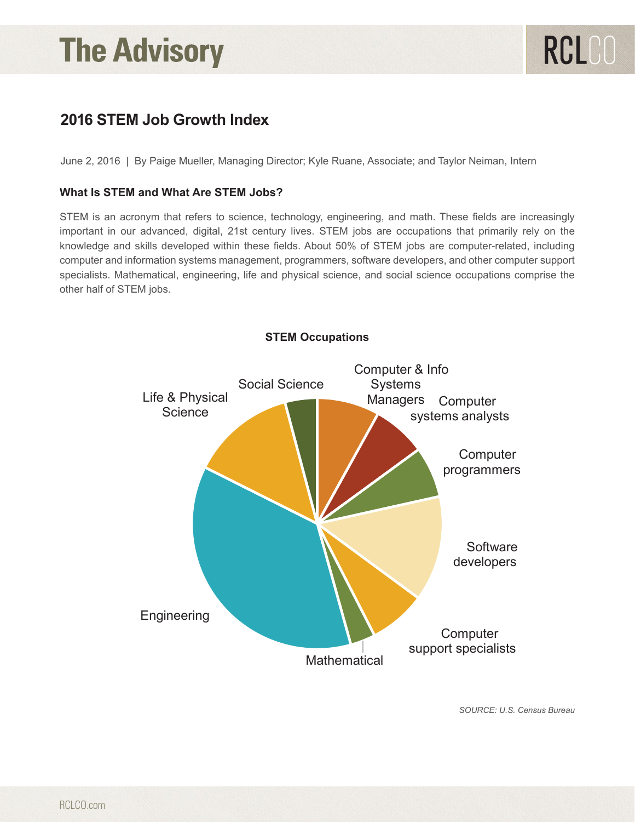# **In this article –** *Entice your readers to keep reading! Article Summary blurb for the e-blast goes here. Click here to read the full article.*

## **2016 STEM Job Growth Index**

June 2, 2016 | By Paige Mueller, Managing Director; Kyle Ruane, Associate; and Taylor Neiman, Intern

## What Is STEM and What Are STEM Jobs?<br> **What Is STEM and What Are STEM Jobs** ?

STEM is an acronym that refers to science, technology, engineering, and math. These fields are increasingly important in our advanced, digital, 21st century lives. STEM jobs are occupations that primarily rely on the knowledge and skills developed within these fields. About 50% of STEM jobs are computer-related, including knowledge and skills developed within these helds. About 50% or STEM jobs are computer-related, including<br>computer and information systems management, programmers, software developers, and other computer support specialists. Mathematical, engineering, life and physical science, and social science occupations comprise the other half of STEM jobs.



*SOURCE: U.S. Census Bureau*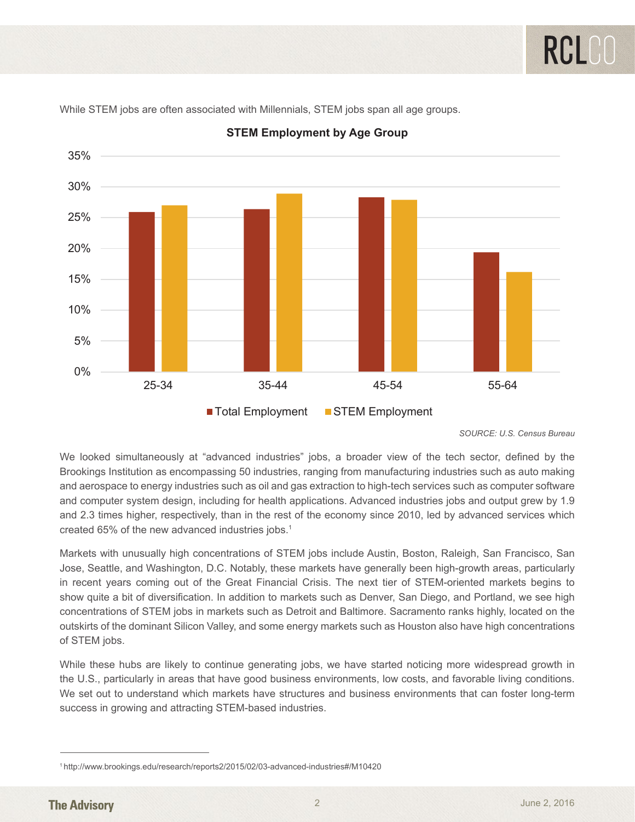

**STEM Employment by Age Group** *STEM Employment by Age Group*

While STEM jobs are often associated with Millennials, STEM jobs span all age groups.

*SOURCE: U.S. Census Bureau*

Brookings institution as choompassing oo industries, ranging nom mandiactumig industries such as duto making<br>and aerospace to energy industries such as oil and gas extraction to high-tech services such as computer software and computer system design, including for health applications. Advanced industries jobs and output grew by 1.9 and 2.3 times higher, respectively, than in the rest of the economy since 2010, led by advanced services which<br>1958 1958 1969 1978 and computer system design, including for the health applications. Advanced industries in the material output grew by 1.9 and output grew by 1.9 and output grew by 1.9 and output grew by 1.9 and output grew by 1.9 and 1.9 We looked simultaneously at "advanced industries" jobs, a broader view of the tech sector, defined by the Brookings Institution as encompassing 50 industries, ranging from manufacturing industries such as auto making created 65% of the new advanced industries jobs.<sup>1</sup>

Markets with unusually high concentrations of STEM jobs include Austin, Boston, Raleigh, San Francisco, San<br>Jesse Saattle, and Washington, D.C. Natably these resultate have appeally have high agouth appear particularly in recent years coming out of the Great Financial Crisis. The next tier of STEM-oriented markets begins to concentrations of STEM jobs in markets such as Detroit and Baltimore. Sacramento fams highly, located on the<br>outskirts of the dominant Silicon Valley, and some energy markets such as Houston also have high concentrations of STEM jobs.  $\blacksquare$ Jose, Seattle, and Washington, D.C. Notably, these markets have generally been high-growth areas, particularly show quite a bit of diversification. In addition to markets such as Denver, San Diego, and Portland, we see high concentrations of STEM jobs in markets such as Detroit and Baltimore. Sacramento ranks highly, located on the of STEM jobs.

While these hubs are likely to continue generating jobs, we have started noticing more widespread growth in the U.S., particularly in areas that have good business environments, low costs, and favorable living conditions. We set out to understand which markets have structures and business environments that can foster long-term<br>We set out to understand which markets have structures and business environments that can foster long-term outsette of growing underlandening of their such a household. success in growing and attracting STEM-based industries.

While these hubs are likely to continue generating jobs, we have started noticing more widespread growth in the 1 http://www.brookings.edu/research/reports2/2015/02/03-advanced-industries#/M10420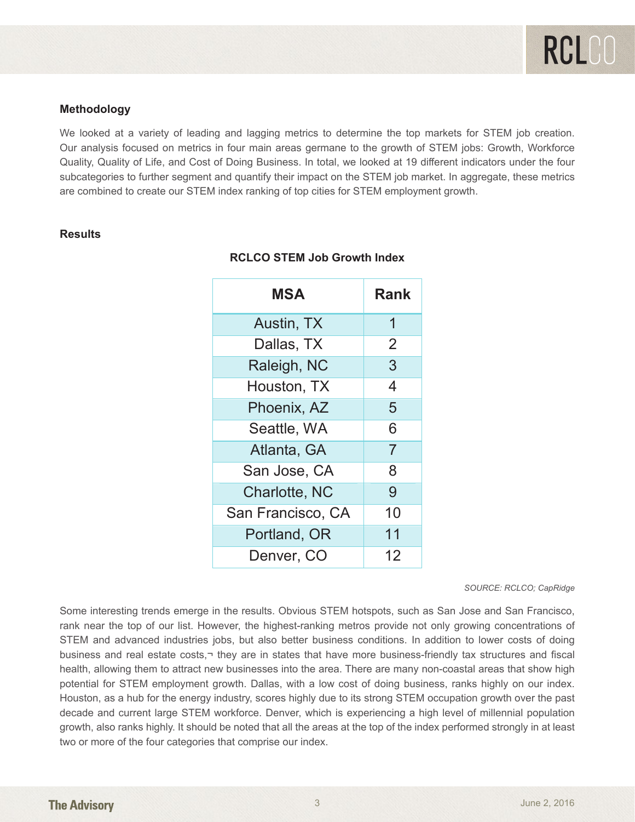#### **Methodology**

We looked at a variety of leading and lagging metrics to determine the top markets for STEM job creation. Our analysis focused on metrics in four main areas germane to the growth of STEM jobs: Growth, Workforce Quality, Quality of Life, and Cost of Doing Business. In total, we looked at 19 different indicators under the four subcategories to further segment and quantify their impact on the STEM job market. In aggregate, these metrics subcategories to further segment and quantify their impact on the STEM job market. In aggregate, these metrics are combined to create our STEM index ranking of top cities for STEM employment growth. are combined to create our STEM index ranking of top cities for STEM employment growth.

#### **Results**

| MSA               | Rank           |
|-------------------|----------------|
| Austin, TX        | 1              |
| Dallas, TX        | 2              |
| Raleigh, NC       | 3              |
| Houston, TX       | 4              |
| Phoenix, AZ       | 5              |
| Seattle, WA       | 6              |
| Atlanta, GA       | $\overline{7}$ |
| San Jose, CA      | 8              |
| Charlotte, NC     | 9              |
| San Francisco, CA | 10             |
| Portland, OR      | 11             |
| Denver, CO        | 12             |

## **RCLCO STEM Job Growth Index** *RCLCO STEM Job Growth Index*

#### *Source: RCLCO; CapRidge SOURCE: RCLCO; CapRidge*

rank near the top of our list. However, the highest-ranking metros provide not only growing concentrations of STEM and advanced industries jobs, but also better business conditions. In addition to lower costs of doing business and real estate costs,¬ they are in states that have more business-friendly tax structures and fiscal health, allowing them to attract new businesses into the area. There are many non-coastal areas that show high potential for STEM employment growth. Dallas, with a low cost of doing business, ranks highly on our index. frousion, as a has for the energy madedly, seeded highly due to his strong of EM costapation growth over the past<br>decade and current large STEM workforce. Denver, which is experiencing a high level of millennial population growth, also ranks highly. It should be noted that all the areas at the top of the index performed strongly in at least two or more of the four categories that comprise our index. Some interesting trends emerge in the results. Obvious STEM hotspots, such as San Jose and San Francisco, Houston, as a hub for the energy industry, scores highly due to its strong STEM occupation growth over the past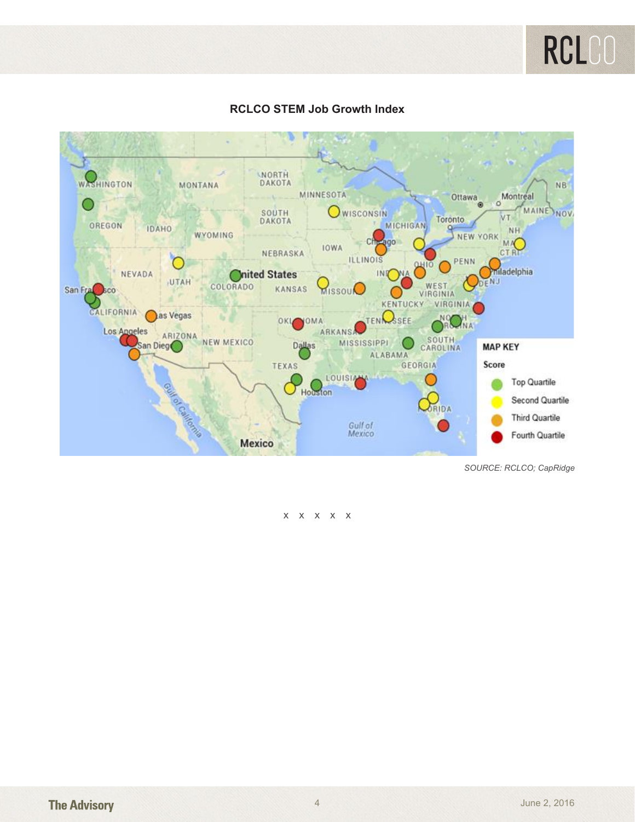



### **RCLCO STEM Job Growth Index** *RCLCO STEM Job Growth Index*

*Source: RCLCO; CapRidge SOURCE: RCLCO; CapRidge*

#### *Article and research prepared by Paige Mueller, Managing Director, Kyle Ruane, Associate, and Taylor Neiman, Intern.*  xxxxx